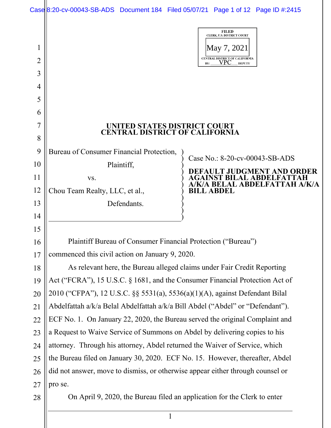|    | Case 8:20-cv-00043-SB-ADS Document 184 Filed 05/07/21 Page 1 of 12 Page ID #:2415 |                                                                            |
|----|-----------------------------------------------------------------------------------|----------------------------------------------------------------------------|
| 1  |                                                                                   | <b>FILED</b><br>CLERK, U.S. DISTRICT COURT<br>May 7, 2021                  |
| 2  |                                                                                   | CENTRAL DISTRICT OF CALIFORNIA<br>VPC<br><b>DEPUTY</b><br>BY:              |
| 3  |                                                                                   |                                                                            |
| 4  |                                                                                   |                                                                            |
| 5  |                                                                                   |                                                                            |
| 6  |                                                                                   |                                                                            |
| 7  | UNITED STATES DISTRICT COURT                                                      |                                                                            |
| 8  | <b>CENTRAL DISTRICT OF CALIFORNIA</b>                                             |                                                                            |
| 9  | Bureau of Consumer Financial Protection,                                          |                                                                            |
| 10 | Plaintiff,                                                                        | Case No.: 8-20-cv-00043-SB-ADS                                             |
| 11 | VS.                                                                               | T JUDGMENT AND ORDER<br><b>ILAL ABDELFATTAH</b><br>BELAL ABDELFATTAH A/K/A |
| 12 | Chou Team Realty, LLC, et al.,                                                    | <b>BILL ABDEL</b>                                                          |
| 13 | Defendants.                                                                       |                                                                            |
| 14 |                                                                                   |                                                                            |
| 15 |                                                                                   |                                                                            |
| 16 | Plaintiff Bureau of Consumer Financial Protection ("Bureau")                      |                                                                            |
| 17 | commenced this civil action on January 9, 2020.                                   |                                                                            |
| 18 | As relevant here, the Bureau alleged claims under Fair Credit Reporting           |                                                                            |
| 19 | Act ("FCRA"), 15 U.S.C. § 1681, and the Consumer Financial Protection Act of      |                                                                            |
| 20 | 2010 ("CFPA"), 12 U.S.C. §§ 5531(a), 5536(a)(1)(A), against Defendant Bilal       |                                                                            |
| 21 | Abdelfattah a/k/a Belal Abdelfattah a/k/a Bill Abdel ("Abdel" or "Defendant").    |                                                                            |
| 22 | ECF No. 1. On January 22, 2020, the Bureau served the original Complaint and      |                                                                            |
| 23 | a Request to Waive Service of Summons on Abdel by delivering copies to his        |                                                                            |
| 24 | attorney. Through his attorney, Abdel returned the Waiver of Service, which       |                                                                            |
| 25 | the Bureau filed on January 30, 2020. ECF No. 15. However, thereafter, Abdel      |                                                                            |
| 26 | did not answer, move to dismiss, or otherwise appear either through counsel or    |                                                                            |
| 27 | pro se.                                                                           |                                                                            |
| 28 | On April 9, 2020, the Bureau filed an application for the Clerk to enter          |                                                                            |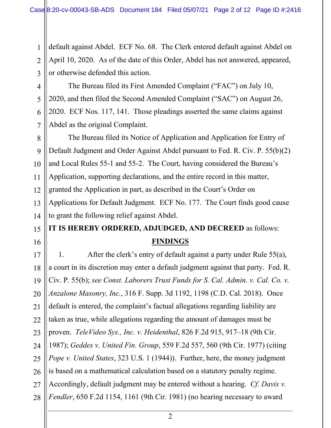default against Abdel. ECF No. 68. The Clerk entered default against Abdel on April 10, 2020. As of the date of this Order, Abdel has not answered, appeared, or otherwise defended this action.

1

2

3

4

5

6

7

15

16

The Bureau filed its First Amended Complaint ("FAC") on July 10, 2020, and then filed the Second Amended Complaint ("SAC") on August 26, 2020. ECF Nos. 117, 141. Those pleadings asserted the same claims against Abdel as the original Complaint.

8 9 10 11 12 13 14 The Bureau filed its Notice of Application and Application for Entry of Default Judgment and Order Against Abdel pursuant to Fed. R. Civ. P. 55(b)(2) and Local Rules 55-1 and 55-2. The Court, having considered the Bureau's Application, supporting declarations, and the entire record in this matter, granted the Application in part, as described in the Court's Order on Applications for Default Judgment. ECF No. 177. The Court finds good cause to grant the following relief against Abdel.

# **IT IS HEREBY ORDERED, ADJUDGED, AND DECREED** as follows:

### **FINDINGS**

17 18 19 20 21 22 23 24 25 26 27 28 1. After the clerk's entry of default against a party under Rule 55(a), a court in its discretion may enter a default judgment against that party. Fed. R. Civ. P. 55(b); *see Const. Laborers Trust Funds for S. Cal. Admin. v. Cal. Co. v. Anzalone Masonry, Inc.*, 316 F. Supp. 3d 1192, 1198 (C.D. Cal. 2018). Once default is entered, the complaint's factual allegations regarding liability are taken as true, while allegations regarding the amount of damages must be proven. *TeleVideo Sys., Inc. v. Heidenthal*, 826 F.2d 915, 917–18 (9th Cir. 1987); *Geddes v. United Fin. Group*, 559 F.2d 557, 560 (9th Cir. 1977) (citing *Pope v. United States*, 323 U.S. 1 (1944)). Further, here, the money judgment is based on a mathematical calculation based on a statutory penalty regime. Accordingly, default judgment may be entered without a hearing. *Cf. Davis v. Fendler*, 650 F.2d 1154, 1161 (9th Cir. 1981) (no hearing necessary to award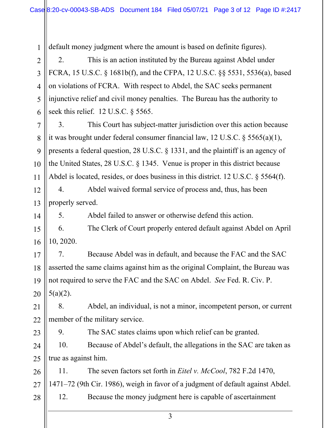1 2 3 4 5 6 7 8 9 10 11 12 13 14 15 16 17 18 19 20 21 22 23 24 25 26 27 28 default money judgment where the amount is based on definite figures). 2. This is an action instituted by the Bureau against Abdel under FCRA, 15 U.S.C. § 1681b(f), and the CFPA, 12 U.S.C. §§ 5531, 5536(a), based on violations of FCRA. With respect to Abdel, the SAC seeks permanent injunctive relief and civil money penalties. The Bureau has the authority to seek this relief. 12 U.S.C. § 5565. 3. This Court has subject-matter jurisdiction over this action because it was brought under federal consumer financial law, 12 U.S.C. § 5565(a)(1), presents a federal question, 28 U.S.C. § 1331, and the plaintiff is an agency of the United States, 28 U.S.C. § 1345. Venue is proper in this district because Abdel is located, resides, or does business in this district. 12 U.S.C. § 5564(f). 4. Abdel waived formal service of process and, thus, has been properly served. 5. Abdel failed to answer or otherwise defend this action. 6. The Clerk of Court properly entered default against Abdel on April 10, 2020. 7. Because Abdel was in default, and because the FAC and the SAC asserted the same claims against him as the original Complaint, the Bureau was not required to serve the FAC and the SAC on Abdel. *See* Fed. R. Civ. P.  $5(a)(2)$ . 8. Abdel, an individual, is not a minor, incompetent person, or current member of the military service. 9. The SAC states claims upon which relief can be granted. 10. Because of Abdel's default, the allegations in the SAC are taken as true as against him. 11. The seven factors set forth in *Eitel v. McCool*, 782 F.2d 1470, 1471–72 (9th Cir. 1986), weigh in favor of a judgment of default against Abdel. 12. Because the money judgment here is capable of ascertainment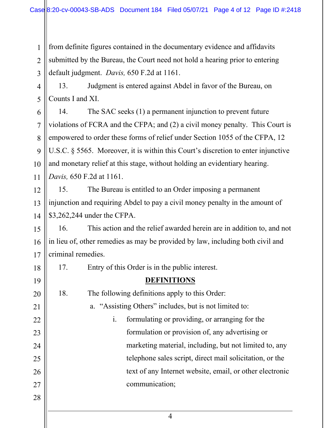1 2 3 from definite figures contained in the documentary evidence and affidavits submitted by the Bureau, the Court need not hold a hearing prior to entering default judgment. *Davis,* 650 F.2d at 1161.

4 5 13. Judgment is entered against Abdel in favor of the Bureau, on Counts I and XI.

6 7 8 9 10 11 14. The SAC seeks (1) a permanent injunction to prevent future violations of FCRA and the CFPA; and (2) a civil money penalty. This Court is empowered to order these forms of relief under Section 1055 of the CFPA, 12 U.S.C. § 5565. Moreover, it is within this Court's discretion to enter injunctive and monetary relief at this stage, without holding an evidentiary hearing. *Davis,* 650 F.2d at 1161.

12 13 14 15. The Bureau is entitled to an Order imposing a permanent injunction and requiring Abdel to pay a civil money penalty in the amount of \$3,262,244 under the CFPA.

15 16 17 16. This action and the relief awarded herein are in addition to, and not in lieu of, other remedies as may be provided by law, including both civil and criminal remedies.

17. Entry of this Order is in the public interest.

## **DEFINITIONS**

18. The following definitions apply to this Order:

a. "Assisting Others" includes, but is not limited to:

- i. formulating or providing, or arranging for the formulation or provision of, any advertising or marketing material, including, but not limited to, any telephone sales script, direct mail solicitation, or the text of any Internet website, email, or other electronic communication;
- 28

18

19

20

21

22

23

24

25

26

27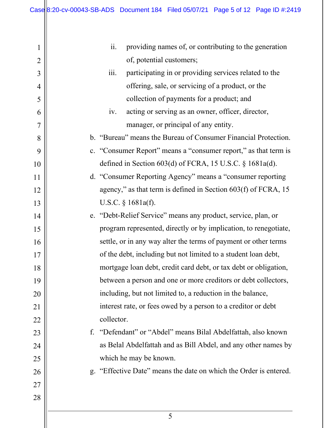| $\mathbf 1$    | ii.<br>providing names of, or contributing to the generation      |
|----------------|-------------------------------------------------------------------|
| $\overline{2}$ | of, potential customers;                                          |
| 3              | iii.<br>participating in or providing services related to the     |
| 4              | offering, sale, or servicing of a product, or the                 |
| 5              | collection of payments for a product; and                         |
| 6              | acting or serving as an owner, officer, director,<br>iv.          |
| 7              | manager, or principal of any entity.                              |
| 8              | b. "Bureau" means the Bureau of Consumer Financial Protection.    |
| 9              | c. "Consumer Report" means a "consumer report," as that term is   |
| 10             | defined in Section $603(d)$ of FCRA, 15 U.S.C. § 1681a(d).        |
| 11             | d. "Consumer Reporting Agency" means a "consumer reporting        |
| 12             | agency," as that term is defined in Section $603(f)$ of FCRA, 15  |
| 13             | U.S.C. $\S$ 1681a(f).                                             |
| 14             | e. "Debt-Relief Service" means any product, service, plan, or     |
| 15             | program represented, directly or by implication, to renegotiate,  |
| 16             | settle, or in any way alter the terms of payment or other terms   |
| 17             | of the debt, including but not limited to a student loan debt,    |
| 18             | mortgage loan debt, credit card debt, or tax debt or obligation,  |
| 19             | between a person and one or more creditors or debt collectors,    |
| 20             | including, but not limited to, a reduction in the balance,        |
| 21             | interest rate, or fees owed by a person to a creditor or debt     |
| 22             | collector.                                                        |
| 23             | f. "Defendant" or "Abdel" means Bilal Abdelfattah, also known     |
| 24             | as Belal Abdelfattah and as Bill Abdel, and any other names by    |
| 25             | which he may be known.                                            |
| 26             | g. "Effective Date" means the date on which the Order is entered. |
| 27             |                                                                   |
| 28             |                                                                   |
|                | 5                                                                 |
|                |                                                                   |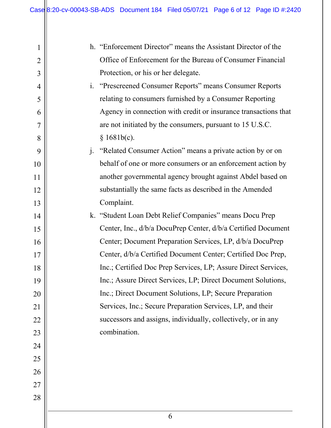| 1              |                | h. "Enforcement Director" means the Assistant Director of the   |
|----------------|----------------|-----------------------------------------------------------------|
| $\overline{2}$ |                | Office of Enforcement for the Bureau of Consumer Financial      |
| 3              |                | Protection, or his or her delegate.                             |
| $\overline{4}$ | $\mathbf{i}$ . | "Prescreened Consumer Reports" means Consumer Reports           |
| 5              |                | relating to consumers furnished by a Consumer Reporting         |
| 6              |                | Agency in connection with credit or insurance transactions that |
| 7              |                | are not initiated by the consumers, pursuant to 15 U.S.C.       |
| 8              |                | § 1681b(c).                                                     |
| 9              |                | j. "Related Consumer Action" means a private action by or on    |
| 10             |                | behalf of one or more consumers or an enforcement action by     |
| 11             |                | another governmental agency brought against Abdel based on      |
| 12             |                | substantially the same facts as described in the Amended        |
| 13             |                | Complaint.                                                      |
| 14             |                | k. "Student Loan Debt Relief Companies" means Docu Prep         |
| 15             |                | Center, Inc., d/b/a DocuPrep Center, d/b/a Certified Document   |
| 16             |                | Center; Document Preparation Services, LP, d/b/a DocuPrep       |
| 17             |                | Center, d/b/a Certified Document Center; Certified Doc Prep,    |
| 18             |                | Inc.; Certified Doc Prep Services, LP; Assure Direct Services,  |
| 19             |                | Inc.; Assure Direct Services, LP; Direct Document Solutions,    |
| 20             |                | Inc.; Direct Document Solutions, LP; Secure Preparation         |
| 21             |                | Services, Inc.; Secure Preparation Services, LP, and their      |
| 22             |                | successors and assigns, individually, collectively, or in any   |
| 23             |                | combination.                                                    |
| 24             |                |                                                                 |
| 25             |                |                                                                 |
| 26             |                |                                                                 |
| 27             |                |                                                                 |
| 28             |                |                                                                 |
|                |                |                                                                 |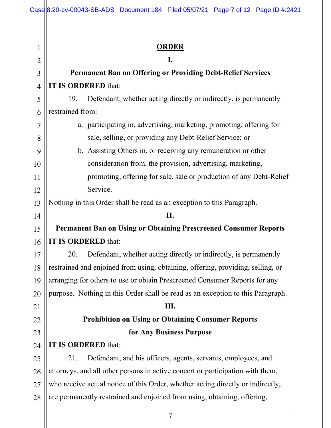|                | Case 8:20-cv-00043-SB-ADS Document 184 Filed 05/07/21 Page 7 of 12 Page ID #:2421 |  |  |
|----------------|-----------------------------------------------------------------------------------|--|--|
|                |                                                                                   |  |  |
|                |                                                                                   |  |  |
| $\mathbf 1$    | <b>ORDER</b>                                                                      |  |  |
| $\overline{2}$ | I.                                                                                |  |  |
| $\overline{3}$ | <b>Permanent Ban on Offering or Providing Debt-Relief Services</b>                |  |  |
| $\overline{4}$ | IT IS ORDERED that:                                                               |  |  |
| 5              | Defendant, whether acting directly or indirectly, is permanently<br>19.           |  |  |
| 6              | restrained from:                                                                  |  |  |
| 7              | a. participating in, advertising, marketing, promoting, offering for              |  |  |
| 8              | sale, selling, or providing any Debt-Relief Service; or                           |  |  |
| 9              | b. Assisting Others in, or receiving any remuneration or other                    |  |  |
| 10             | consideration from, the provision, advertising, marketing,                        |  |  |
| 11             | promoting, offering for sale, sale or production of any Debt-Relief               |  |  |
| 12             | Service.                                                                          |  |  |
| 13             | Nothing in this Order shall be read as an exception to this Paragraph.            |  |  |
| 14             | II.                                                                               |  |  |
| 15             | <b>Permanent Ban on Using or Obtaining Prescreened Consumer Reports</b>           |  |  |
| 16             | IT IS ORDERED that:                                                               |  |  |
| 17             | 20.<br>Defendant, whether acting directly or indirectly, is permanently           |  |  |
| 18             | restrained and enjoined from using, obtaining, offering, providing, selling, or   |  |  |
| 19             | arranging for others to use or obtain Prescreened Consumer Reports for any        |  |  |
| 20             | purpose. Nothing in this Order shall be read as an exception to this Paragraph.   |  |  |
| 21             | Ш.                                                                                |  |  |
| 22             | <b>Prohibition on Using or Obtaining Consumer Reports</b>                         |  |  |
| 23             | for Any Business Purpose                                                          |  |  |
| 24             | IT IS ORDERED that:                                                               |  |  |
| 25             | Defendant, and his officers, agents, servants, employees, and<br>21.              |  |  |
| 26             | attorneys, and all other persons in active concert or participation with them,    |  |  |
| 27             | who receive actual notice of this Order, whether acting directly or indirectly,   |  |  |
| 28             | are permanently restrained and enjoined from using, obtaining, offering,          |  |  |
|                | $\overline{7}$                                                                    |  |  |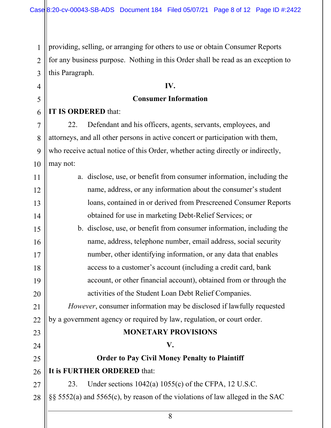2 3 providing, selling, or arranging for others to use or obtain Consumer Reports for any business purpose. Nothing in this Order shall be read as an exception to this Paragraph.

# **IV. Consumer Information**

### **IT IS ORDERED** that:

1

4

5

6

7

8

9

10

27

22. Defendant and his officers, agents, servants, employees, and attorneys, and all other persons in active concert or participation with them, who receive actual notice of this Order, whether acting directly or indirectly, may not:

| 11 | a. disclose, use, or benefit from consumer information, including the        |
|----|------------------------------------------------------------------------------|
| 12 | name, address, or any information about the consumer's student               |
| 13 | loans, contained in or derived from Prescreened Consumer Reports             |
| 14 | obtained for use in marketing Debt-Relief Services; or                       |
| 15 | b. disclose, use, or benefit from consumer information, including the        |
| 16 | name, address, telephone number, email address, social security              |
| 17 | number, other identifying information, or any data that enables              |
| 18 | access to a customer's account (including a credit card, bank                |
| 19 | account, or other financial account), obtained from or through the           |
| 20 | activities of the Student Loan Debt Relief Companies.                        |
| 21 | <i>However</i> , consumer information may be disclosed if lawfully requested |
| 22 | by a government agency or required by law, regulation, or court order.       |
| 23 | <b>MONETARY PROVISIONS</b>                                                   |
| 24 | V.                                                                           |
| 25 | <b>Order to Pay Civil Money Penalty to Plaintiff</b>                         |

#### 26 **It is FURTHER ORDERED** that:

23. Under sections 1042(a) 1055(c) of the CFPA, 12 U.S.C.

28 §§ 5552(a) and 5565(c), by reason of the violations of law alleged in the SAC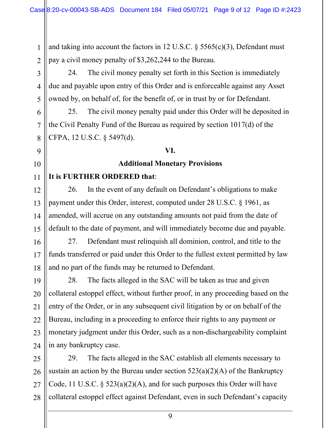and taking into account the factors in 12 U.S.C.  $\S$  5565(c)(3), Defendant must pay a civil money penalty of \$3,262,244 to the Bureau.

24. The civil money penalty set forth in this Section is immediately due and payable upon entry of this Order and is enforceable against any Asset owned by, on behalf of, for the benefit of, or in trust by or for Defendant.

25. The civil money penalty paid under this Order will be deposited in the Civil Penalty Fund of the Bureau as required by section 1017(d) of the CFPA, 12 U.S.C. § 5497(d).

#### **VI.**

#### **Additional Monetary Provisions**

#### **It is FURTHER ORDERED that**:

26. In the event of any default on Defendant's obligations to make payment under this Order, interest, computed under 28 U.S.C. § 1961, as amended, will accrue on any outstanding amounts not paid from the date of default to the date of payment, and will immediately become due and payable.

27. Defendant must relinquish all dominion, control, and title to the funds transferred or paid under this Order to the fullest extent permitted by law and no part of the funds may be returned to Defendant.

28. The facts alleged in the SAC will be taken as true and given collateral estoppel effect, without further proof, in any proceeding based on the entry of the Order, or in any subsequent civil litigation by or on behalf of the Bureau, including in a proceeding to enforce their rights to any payment or monetary judgment under this Order, such as a non-dischargeability complaint in any bankruptcy case.

29. The facts alleged in the SAC establish all elements necessary to sustain an action by the Bureau under section  $523(a)(2)(A)$  of the Bankruptcy Code, 11 U.S.C.  $\S$  523(a)(2)(A), and for such purposes this Order will have collateral estoppel effect against Defendant, even in such Defendant's capacity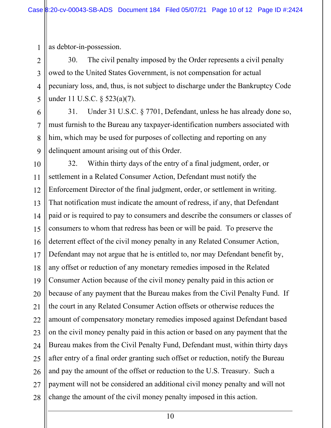as debtor-in-possession.

1

2

3

4

5

6

7

8

9

30. The civil penalty imposed by the Order represents a civil penalty owed to the United States Government, is not compensation for actual pecuniary loss, and, thus, is not subject to discharge under the Bankruptcy Code under 11 U.S.C. § 523(a)(7).

31. Under 31 U.S.C. § 7701, Defendant, unless he has already done so, must furnish to the Bureau any taxpayer-identification numbers associated with him, which may be used for purposes of collecting and reporting on any delinquent amount arising out of this Order.

10 11 12 13 14 15 16 17 18 19 20 21 22 23 24 25 26 27 28 32. Within thirty days of the entry of a final judgment, order, or settlement in a Related Consumer Action, Defendant must notify the Enforcement Director of the final judgment, order, or settlement in writing. That notification must indicate the amount of redress, if any, that Defendant paid or is required to pay to consumers and describe the consumers or classes of consumers to whom that redress has been or will be paid. To preserve the deterrent effect of the civil money penalty in any Related Consumer Action, Defendant may not argue that he is entitled to, nor may Defendant benefit by, any offset or reduction of any monetary remedies imposed in the Related Consumer Action because of the civil money penalty paid in this action or because of any payment that the Bureau makes from the Civil Penalty Fund. If the court in any Related Consumer Action offsets or otherwise reduces the amount of compensatory monetary remedies imposed against Defendant based on the civil money penalty paid in this action or based on any payment that the Bureau makes from the Civil Penalty Fund, Defendant must, within thirty days after entry of a final order granting such offset or reduction, notify the Bureau and pay the amount of the offset or reduction to the U.S. Treasury. Such a payment will not be considered an additional civil money penalty and will not change the amount of the civil money penalty imposed in this action.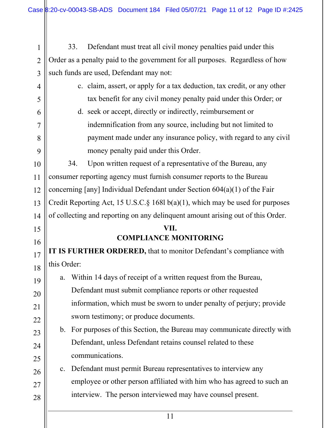1 2 3 4 5 6 7 8 9 10 11 12 13 14 15 16 17 18 19 20 21 22 23 24 25 26 27 28 33. Defendant must treat all civil money penalties paid under this Order as a penalty paid to the government for all purposes. Regardless of how such funds are used, Defendant may not: c. claim, assert, or apply for a tax deduction, tax credit, or any other tax benefit for any civil money penalty paid under this Order; or d. seek or accept, directly or indirectly, reimbursement or indemnification from any source, including but not limited to payment made under any insurance policy, with regard to any civil money penalty paid under this Order. 34. Upon written request of a representative of the Bureau, any consumer reporting agency must furnish consumer reports to the Bureau concerning [any] Individual Defendant under Section 604(a)(1) of the Fair Credit Reporting Act, 15 U.S.C.§ 168l b(a)(1), which may be used for purposes of collecting and reporting on any delinquent amount arising out of this Order. **VII. COMPLIANCE MONITORING IT IS FURTHER ORDERED,** that to monitor Defendant's compliance with this Order: a. Within 14 days of receipt of a written request from the Bureau, Defendant must submit compliance reports or other requested information, which must be sworn to under penalty of perjury; provide sworn testimony; or produce documents. b. For purposes of this Section, the Bureau may communicate directly with Defendant, unless Defendant retains counsel related to these communications. c. Defendant must permit Bureau representatives to interview any employee or other person affiliated with him who has agreed to such an interview. The person interviewed may have counsel present.